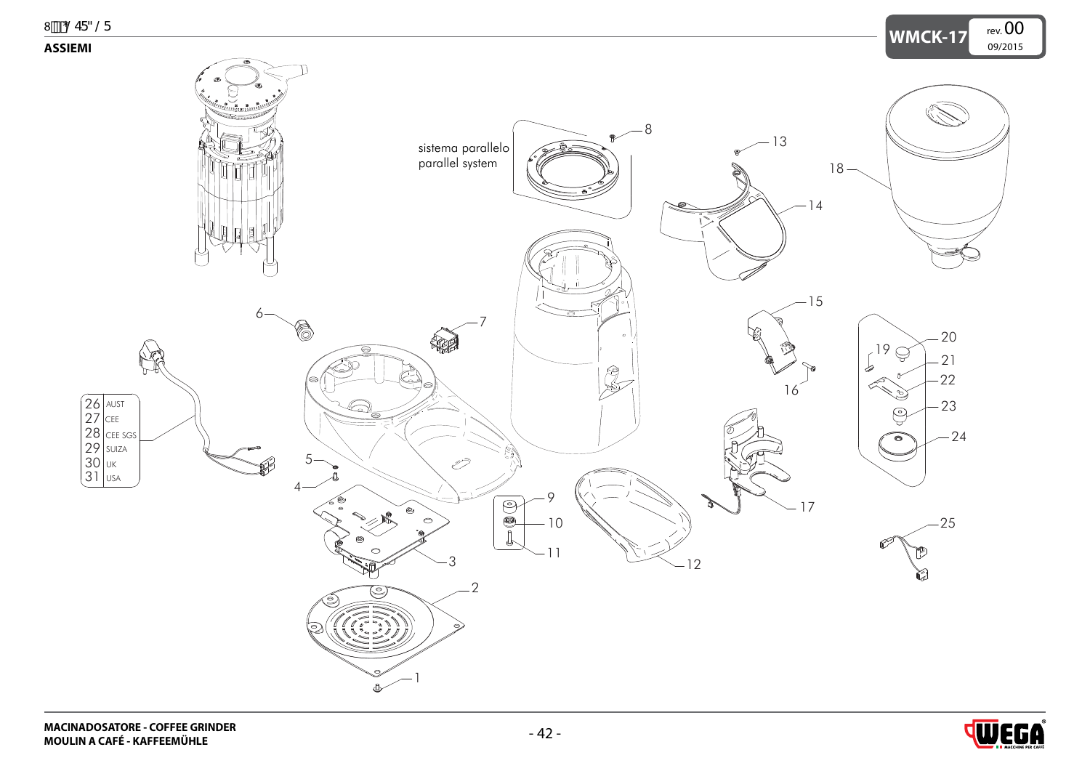<span id="page-0-0"></span>